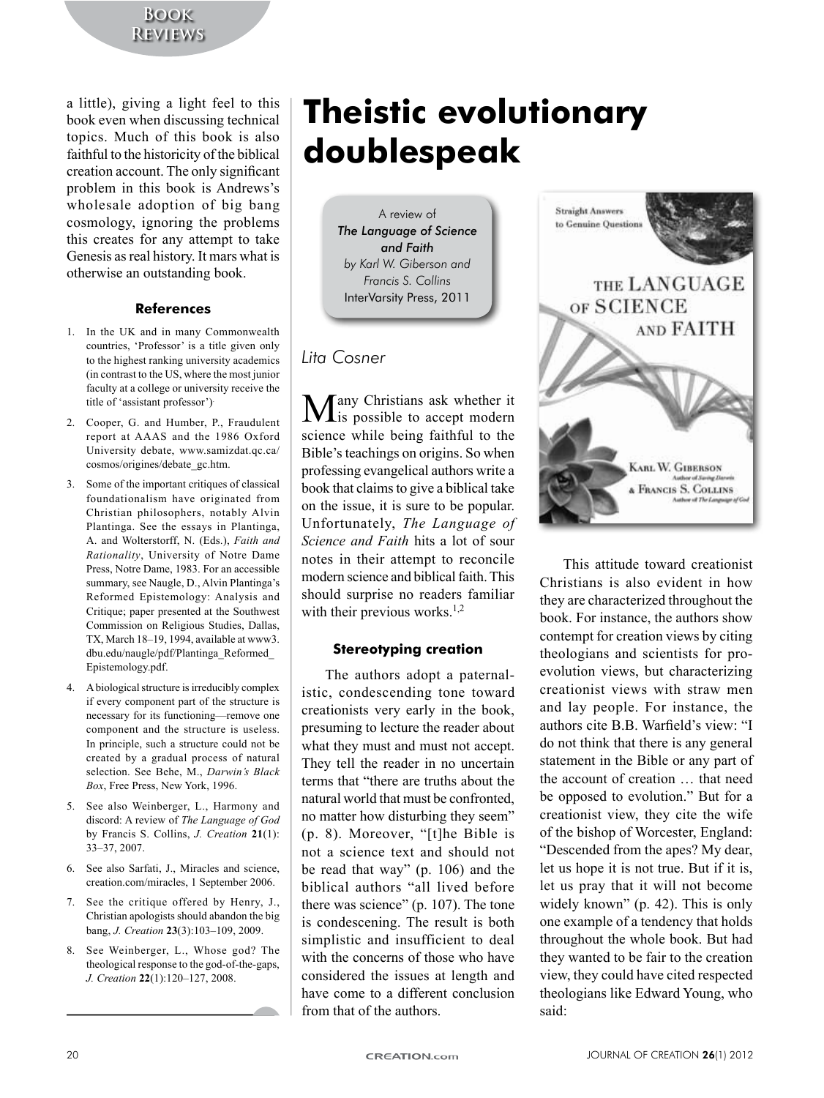# **Book Reviews**

a little), giving a light feel to this book even when discussing technical topics. Much of this book is also faithful to the historicity of the biblical creation account. The only significant problem in this book is Andrews's wholesale adoption of big bang cosmology, ignoring the problems this creates for any attempt to take Genesis as real history. It mars what is otherwise an outstanding book.

## **References**

- 1. In the UK and in many Commonwealth countries, 'Professor' is a title given only to the highest ranking university academics (in contrast to the US, where the most junior) faculty at a college or university receive the title of 'assistant professor').
- 2. Cooper, G. and Humber, P., Fraudulent report at AAAS and the 1986 Oxford University debate, www.samizdat.qc.ca/ cosmos/origines/debate\_gc.htm.
- 3. Some of the important critiques of classical foundationalism have originated from Christian philosophers, notably Alvin Plantinga. See the essays in Plantinga, A. and Wolterstorff, N. (Eds.), Faith and *Rationality*, University of Notre Dame Press, Notre Dame, 1983. For an accessible summary, see Naugle, D., Alvin Plantinga's Reformed Epistemology: Analysis and Critique; paper presented at the Southwest Commission on Religious Studies, Dallas, TX, March 18–19, 1994, available at www3. dbu.edu/naugle/pdf/Plantinga\_Reformed\_ Epistemology.pdf.
- 4. A biological structure is irreducibly complex if every component part of the structure is necessary for its functioning—remove one component and the structure is useless. In principle, such a structure could not be created by a gradual process of natural selection. See Behe, M., Darwin's Black Box, Free Press, New York, 1996.
- 5. See also Weinberger, L., Harmony and discord: A review of *The Language of God* by Francis S. Collins, *J. Creation* 21(1): 33–37, 2007.
- 6. See also Sarfati, J., Miracles and science, creation.com/miracles, 1 September 2006.
- 7. See the critique offered by Henry, J., Christian apologists should abandon the big bang, *J. Creation* 23(3):103-109, 2009.
- 8. See Weinberger, L., Whose god? The theological response to the god-of-the-gaps, *J. Creation* 22(1):120–127, 2008.

# **Theistic evolutionary doublespeak**

A review of *The Language of Science and Faith by Karl W. Giberson and Francis S. Collins* InterVarsity Press, 2011

# *Lita Cosner*

 $M$ any Christians ask whether it is possible to accept modern science while being faithful to the Bible's teachings on origins. So when professing evangelical authors write a book that claims to give a biblical take on the issue, it is sure to be popular. Unfortunately, The Language of *Science and Faith* hits a lot of sour notes in their attempt to reconcile modern science and biblical faith. This should surprise no readers familiar with their previous works.<sup>1,2</sup>

# **Stereotyping creation**

The authors adopt a paternalistic, condescending tone toward creationists very early in the book, presuming to lecture the reader about what they must and must not accept. They tell the reader in no uncertain terms that "there are truths about the natural world that must be confronted. no matter how disturbing they seem"  $(p. 8)$ . Moreover, "[t]he Bible is" not a science text and should not be read that way" (p.  $106$ ) and the biblical authors "all lived before there was science" (p.  $107$ ). The tone is condescening. The result is both simplistic and insufficient to deal with the concerns of those who have considered the issues at length and have come to a different conclusion from that of the authors.



This attitude toward creationist Christians is also evident in how they are characterized throughout the book. For instance, the authors show contempt for creation views by citing theologians and scientists for proevolution views, but characterizing creationist views with straw men and lay people. For instance, the authors cite B.B. Warfield's view: "I do not think that there is any general statement in the Bible or any part of the account of creation ... that need be opposed to evolution." But for a creationist view, they cite the wife of the bishop of Worcester, England: "Descended from the apes? My dear, let us hope it is not true. But if it is, let us pray that it will not become widely known"  $(p. 42)$ . This is only one example of a tendency that holds throughout the whole book. But had they wanted to be fair to the creation view, they could have cited respected theologians like Edward Young, who said: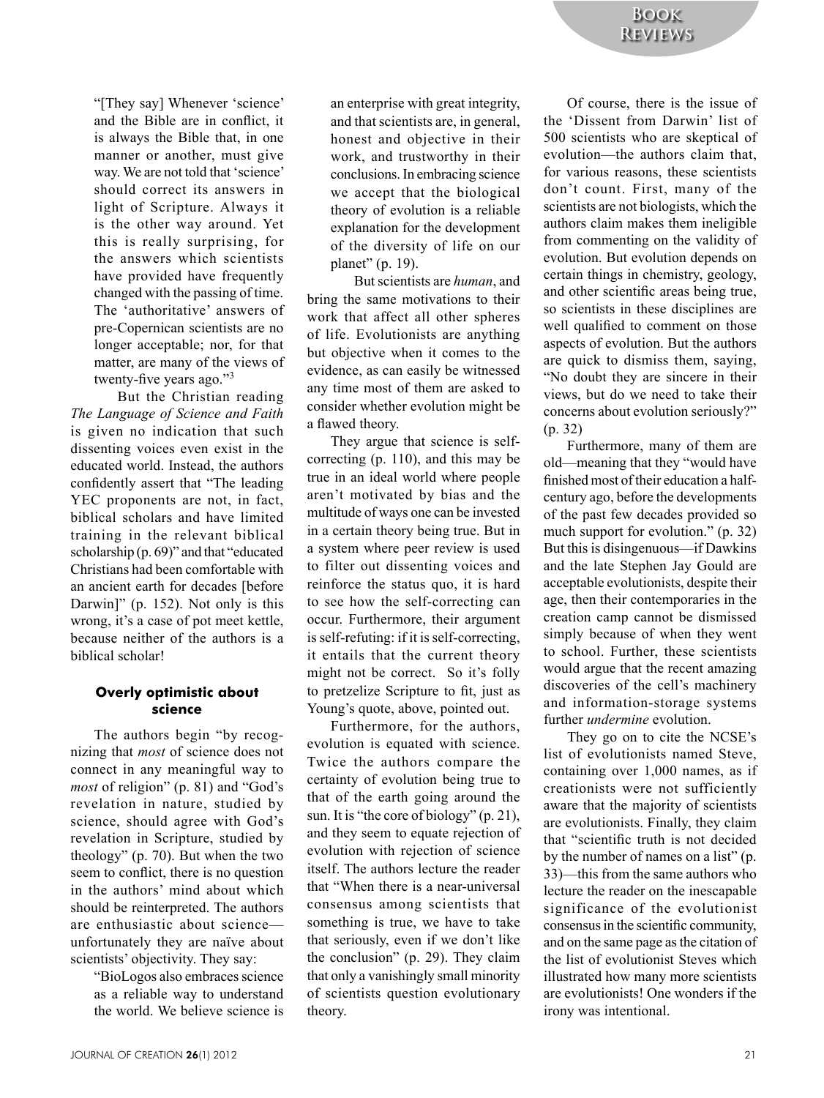"[They say] Whenever 'science' and the Bible are in conflict, it is always the Bible that, in one manner or another, must give way. We are not told that 'science' should correct its answers in light of Scripture. Always it is the other way around. Yet this is really surprising, for the answers which scientists have provided have frequently changed with the passing of time. The 'authoritative' answers of pre-Copernican scientists are no longer acceptable; nor, for that matter, are many of the views of twenty-five years ago." $3$ 

But the Christian reading *The\$Language\$of\$Science\$and\$Faith\$* is given no indication that such dissenting voices even exist in the educated world. Instead, the authors confidently assert that "The leading YEC proponents are not, in fact, biblical scholars and have limited training in the relevant biblical scholarship  $(p. 69)$ " and that "educated" Christians had been comfortable with an ancient earth for decades [before Darwin]" (p.  $152$ ). Not only is this wrong, it's a case of pot meet kettle, because neither of the authors is a biblical scholar!

## **Overly optimistic about science**

The authors begin "by recognizing that *most* of science does not connect in any meaningful way to *most* of religion" (p. 81) and "God's revelation in nature, studied by science, should agree with God's revelation in Scripture, studied by theology" (p.  $70$ ). But when the two seem to conflict, there is no question in the authors' mind about which should be reinterpreted. The authors are enthusiastic about science unfortunately they are naïve about scientists' objectivity. They say:

> "BioLogos also embraces science" as a reliable way to understand the world. We believe science is

an enterprise with great integrity, and that scientists are, in general, honest and objective in their work, and trustworthy in their conclusions. In embracing science we accept that the biological theory of evolution is a reliable explanation for the development of the diversity of life on our planet" (p. 19).

But scientists are *human*, and bring the same motivations to their work that affect all other spheres of life. Evolutionists are anything but objective when it comes to the evidence, as can easily be witnessed any time most of them are asked to consider whether evolution might be a flawed theory.

They argue that science is selfcorrecting  $(p. 110)$ , and this may be true in an ideal world where people aren't motivated by bias and the multitude of ways one can be invested in a certain theory being true. But in a system where peer review is used to filter out dissenting voices and reinforce the status quo, it is hard to see how the self-correcting can occur. Furthermore, their argument is self-refuting: if it is self-correcting, it entails that the current theory might not be correct. So it's folly to pretzelize Scripture to fit, just as Young's quote, above, pointed out.

Furthermore, for the authors, evolution is equated with science. Twice the authors compare the certainty of evolution being true to that of the earth going around the sun. It is "the core of biology" (p. 21), and they seem to equate rejection of evolution with rejection of science itself. The authors lecture the reader that "When there is a near-universal consensus among scientists that something is true, we have to take that seriously, even if we don't like the conclusion" (p. 29). They claim that only a vanishingly small minority of scientists question evolutionary theory.

Of course, there is the issue of the 'Dissent from Darwin' list of 500 scientists who are skeptical of evolution—the authors claim that, for various reasons, these scientists don't count. First, many of the scientists are not biologists, which the authors claim makes them ineligible from commenting on the validity of evolution. But evolution depends on certain things in chemistry, geology, and other scientific areas being true. so scientists in these disciplines are well qualified to comment on those aspects of evolution. But the authors are quick to dismiss them, saying, "No doubt they are sincere in their views, but do we need to take their concerns about evolution seriously?"  $(p. 32)$ 

Furthermore, many of them are old—meaning that they "would have finished most of their education a halfcentury ago, before the developments of the past few decades provided so much support for evolution."  $(p. 32)$ But this is disingenuous—if Dawkins and the late Stephen Jay Gould are acceptable evolutionists, despite their age, then their contemporaries in the creation' camp' cannot' be' dismissed' simply because of when they went to school. Further, these scientists would argue that the recent amazing discoveries of the cell's machinery and information-storage systems further *undermine* evolution.

They go on to cite the NCSE's list of evolutionists named Steve, containing over 1,000 names, as if creationists were not sufficiently aware that the majority of scientists are evolutionists. Finally, they claim that "scientific truth is not decided by the number of names on a list" (p. 33)—this from the same authors who lecture the reader on the inescapable significance of the evolutionist consensus in the scientific community, and on the same page as the citation of the list of evolutionist Steves which illustrated how many more scientists are evolutionists! One wonders if the irony was intentional.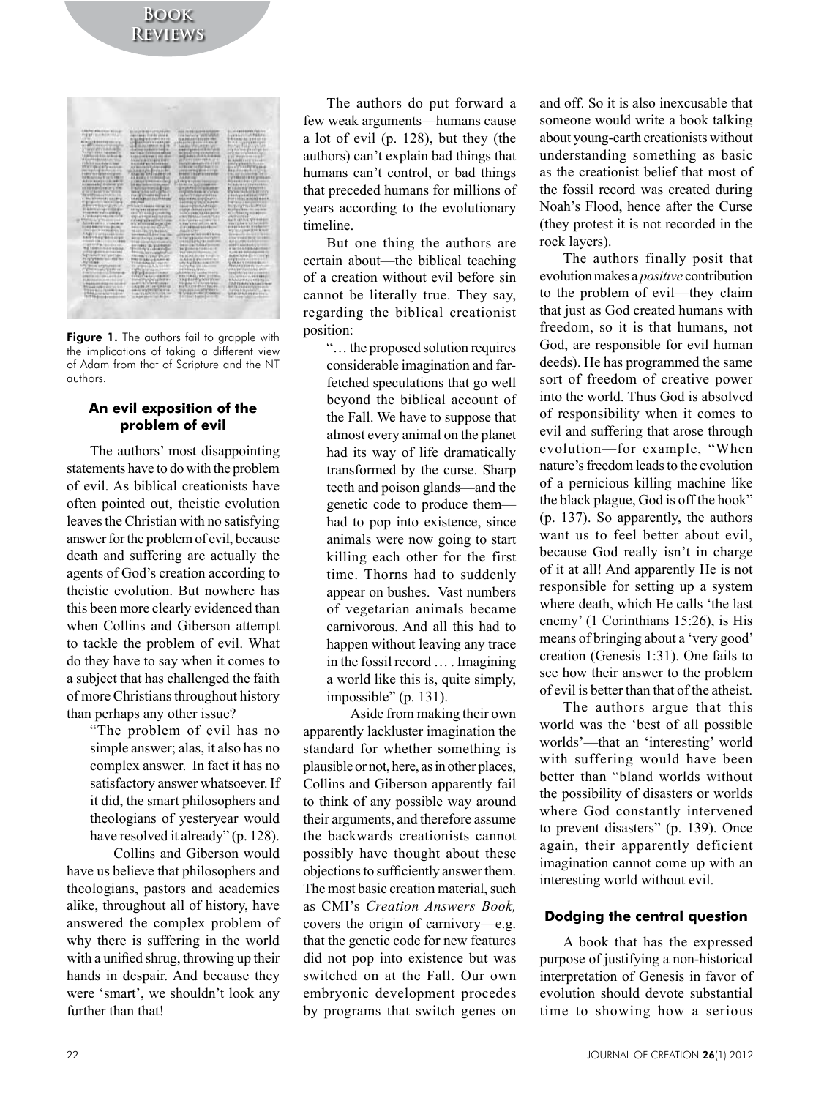

Figure 1. The authors fail to grapple with the implications of taking a different view of Adam from that of Scripture and the NT authors

#### An evil exposition of the problem of evil

The authors' most disappointing statements have to do with the problem of evil. As biblical creationists have often pointed out, theistic evolution leaves the Christian with no satisfying answer for the problem of evil, because death and suffering are actually the agents of God's creation according to theistic evolution. But nowhere has this been more clearly evidenced than when Collins and Giberson attempt to tackle the problem of evil. What do they have to say when it comes to a subject that has challenged the faith of more Christians throughout history than perhaps any other issue?

> "The problem of evil has no simple answer; alas, it also has no complex answer. In fact it has no satisfactory answer whatsoever. If it did, the smart philosophers and theologians of yesteryear would have resolved it already" (p. 128).

Collins and Giberson would have us believe that philosophers and theologians, pastors and academics alike, throughout all of history, have answered the complex problem of why there is suffering in the world with a unified shrug, throwing up their hands in despair. And because they were 'smart', we shouldn't look any further than that!

The authors do put forward a few weak arguments—humans cause a lot of evil (p. 128), but they (the authors) can't explain bad things that humans can't control, or bad things that preceded humans for millions of years according to the evolutionary timeline.

But one thing the authors are certain about—the biblical teaching of a creation without evil before sin cannot be literally true. They say, regarding the biblical creationist position:

"... the proposed solution requires considerable imagination and farfetched speculations that go well beyond the biblical account of the Fall. We have to suppose that almost every animal on the planet had its way of life dramatically transformed by the curse. Sharp teeth and poison glands—and the genetic code to produce them had to pop into existence, since animals were now going to start killing each other for the first time. Thorns had to suddenly appear on bushes. Vast numbers of vegetarian animals became carnivorous. And all this had to happen without leaving any trace in the fossil record ... Imagining a world like this is, quite simply, impossible" (p. 131).

Aside from making their own apparently lackluster imagination the standard for whether something is plausible or not, here, as in other places, Collins and Giberson apparently fail to think of any possible way around their arguments, and therefore assume the backwards creationists cannot possibly have thought about these objections to sufficiently answer them. The most basic creation material, such as CMI's Creation Answers Book. covers the origin of carnivory-e.g. that the genetic code for new features did not pop into existence but was switched on at the Fall. Our own embryonic development procedes by programs that switch genes on

and off. So it is also inexcusable that someone would write a book talking about young-earth creationists without understanding something as basic as the creationist belief that most of the fossil record was created during Noah's Flood, hence after the Curse (they protest it is not recorded in the rock layers).

The authors finally posit that evolution makes a *positive* contribution to the problem of evil—they claim that just as God created humans with freedom, so it is that humans, not God, are responsible for evil human deeds). He has programmed the same sort of freedom of creative power into the world. Thus God is absolved of responsibility when it comes to evil and suffering that arose through evolution-for example, "When nature's freedom leads to the evolution of a pernicious killing machine like the black plague, God is off the hook" (p. 137). So apparently, the authors want us to feel better about evil. because God really isn't in charge of it at all! And apparently He is not responsible for setting up a system where death, which He calls 'the last enemy' (1 Corinthians 15:26), is His means of bringing about a 'very good' creation (Genesis 1:31). One fails to see how their answer to the problem of evil is better than that of the atheist.

The authors argue that this world was the 'best of all possible worlds'—that an 'interesting' world with suffering would have been better than "bland worlds without the possibility of disasters or worlds where God constantly intervened to prevent disasters" (p. 139). Once again, their apparently deficient imagination cannot come up with an interesting world without evil.

#### Dodging the central question

A book that has the expressed purpose of justifying a non-historical interpretation of Genesis in favor of evolution should devote substantial time to showing how a serious